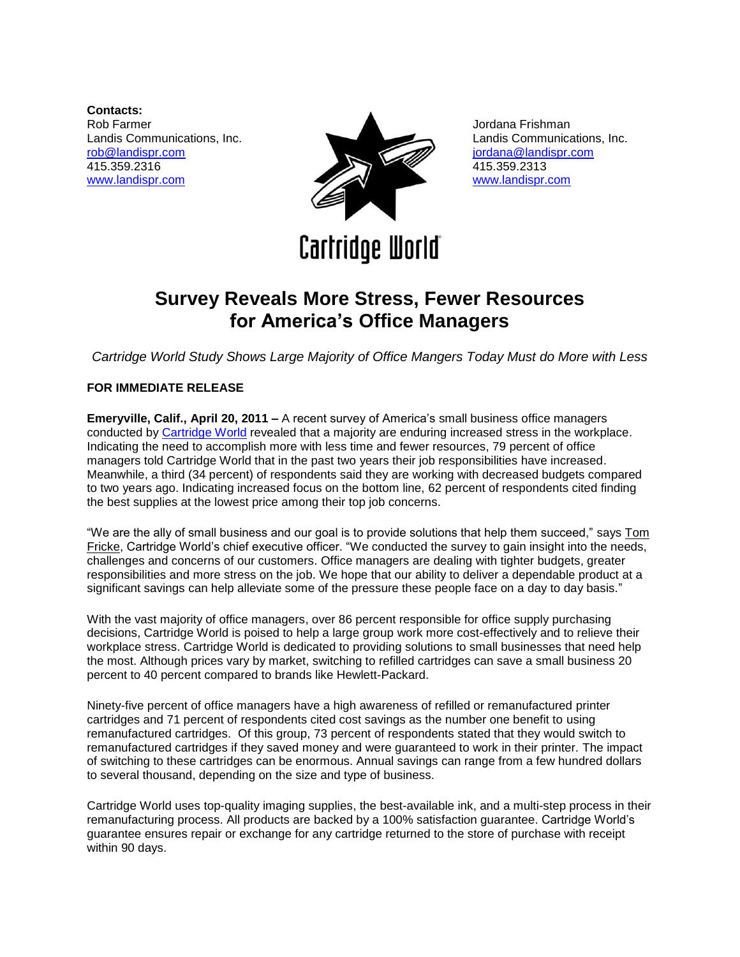**Contacts:** Rob Farmer Landis Communications, Inc. [rob@landispr.com](mailto:rob@landispr.com) 415.359.2316 [www.landispr.com](http://www.landispr.com/)



Landis Communications, Inc. [jordana@landispr.com](mailto:jordana@landispr.com) 415.359.2313 [www.landispr.com](http://www.landispr.com/)

Jordana Frishman

**Cartridge World** 

## **Survey Reveals More Stress, Fewer Resources for America's Office Managers**

*Cartridge World Study Shows Large Majority of Office Mangers Today Must do More with Less*

## **FOR IMMEDIATE RELEASE**

**Emeryville, Calif., April 20, 2011 –** A recent survey of America's small business office managers conducted by [Cartridge World](http://www.cartridgeworld.com/) revealed that a majority are enduring increased stress in the workplace. Indicating the need to accomplish more with less time and fewer resources, 79 percent of office managers told Cartridge World that in the past two years their job responsibilities have increased. Meanwhile, a third (34 percent) of respondents said they are working with decreased budgets compared to two years ago. Indicating increased focus on the bottom line, 62 percent of respondents cited finding the best supplies at the lowest price among their top job concerns.

"We are the ally of small business and our goal is to provide solutions that help them succeed," says [Tom](http://www.cartridgeworld.com/Executives/Tom_Fricke/)  [Fricke,](http://www.cartridgeworld.com/Executives/Tom_Fricke/) Cartridge World's chief executive officer. "We conducted the survey to gain insight into the needs, challenges and concerns of our customers. Office managers are dealing with tighter budgets, greater responsibilities and more stress on the job. We hope that our ability to deliver a dependable product at a significant savings can help alleviate some of the pressure these people face on a day to day basis."

With the vast majority of office managers, over 86 percent responsible for office supply purchasing decisions, Cartridge World is poised to help a large group work more cost-effectively and to relieve their workplace stress. Cartridge World is dedicated to providing solutions to small businesses that need help the most. Although prices vary by market, switching to refilled cartridges can save a small business 20 percent to 40 percent compared to brands like Hewlett-Packard.

Ninety-five percent of office managers have a high awareness of refilled or remanufactured printer cartridges and 71 percent of respondents cited cost savings as the number one benefit to using remanufactured cartridges. Of this group, 73 percent of respondents stated that they would switch to remanufactured cartridges if they saved money and were guaranteed to work in their printer. The impact of switching to these cartridges can be enormous. Annual savings can range from a few hundred dollars to several thousand, depending on the size and type of business.

Cartridge World uses top-quality imaging supplies, the best-available ink, and a multi-step process in their remanufacturing process. All products are backed by a 100% satisfaction guarantee. Cartridge World's guarantee ensures repair or exchange for any cartridge returned to the store of purchase with receipt within 90 days.